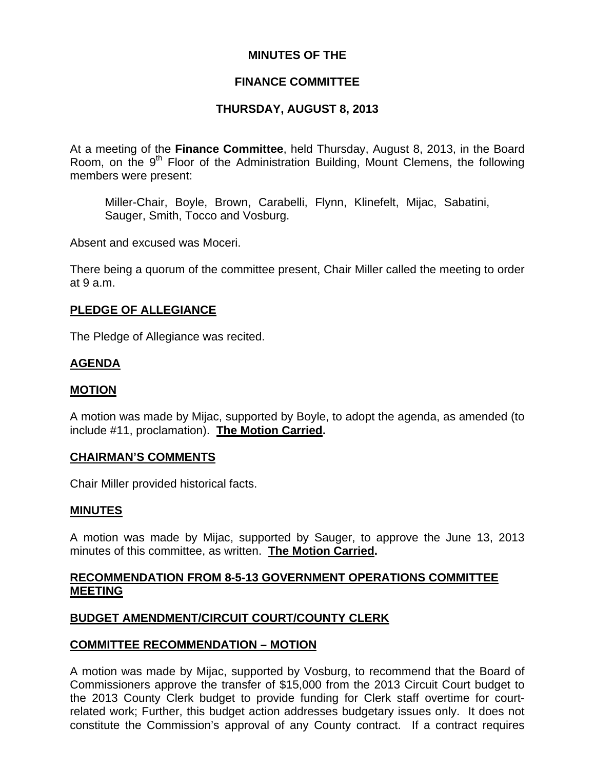# **MINUTES OF THE**

### **FINANCE COMMITTEE**

# **THURSDAY, AUGUST 8, 2013**

At a meeting of the **Finance Committee**, held Thursday, August 8, 2013, in the Board Room, on the  $9<sup>th</sup>$  Floor of the Administration Building, Mount Clemens, the following members were present:

Miller-Chair, Boyle, Brown, Carabelli, Flynn, Klinefelt, Mijac, Sabatini, Sauger, Smith, Tocco and Vosburg.

Absent and excused was Moceri.

There being a quorum of the committee present, Chair Miller called the meeting to order at 9 a.m.

### **PLEDGE OF ALLEGIANCE**

The Pledge of Allegiance was recited.

### **AGENDA**

#### **MOTION**

A motion was made by Mijac, supported by Boyle, to adopt the agenda, as amended (to include #11, proclamation). **The Motion Carried.** 

#### **CHAIRMAN'S COMMENTS**

Chair Miller provided historical facts.

#### **MINUTES**

A motion was made by Mijac, supported by Sauger, to approve the June 13, 2013 minutes of this committee, as written. **The Motion Carried.** 

### **RECOMMENDATION FROM 8-5-13 GOVERNMENT OPERATIONS COMMITTEE MEETING**

# **BUDGET AMENDMENT/CIRCUIT COURT/COUNTY CLERK**

#### **COMMITTEE RECOMMENDATION – MOTION**

A motion was made by Mijac, supported by Vosburg, to recommend that the Board of Commissioners approve the transfer of \$15,000 from the 2013 Circuit Court budget to the 2013 County Clerk budget to provide funding for Clerk staff overtime for courtrelated work; Further, this budget action addresses budgetary issues only. It does not constitute the Commission's approval of any County contract. If a contract requires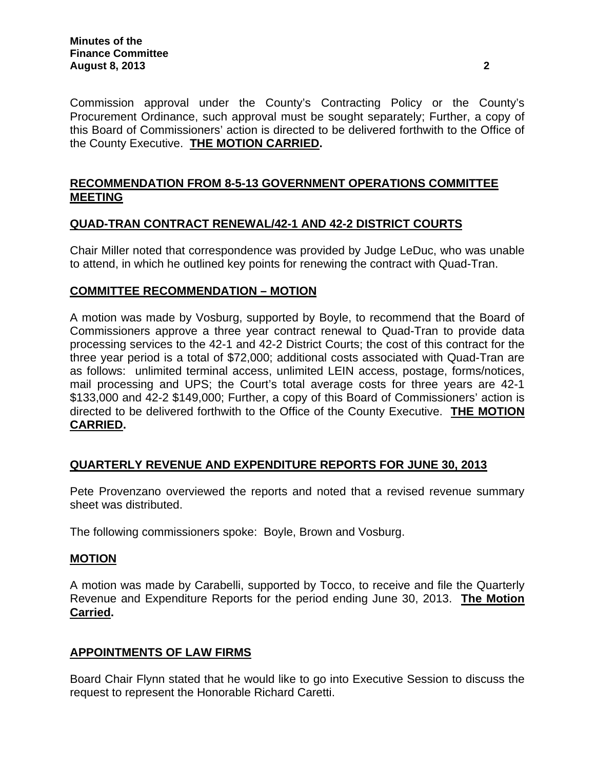Commission approval under the County's Contracting Policy or the County's Procurement Ordinance, such approval must be sought separately; Further, a copy of this Board of Commissioners' action is directed to be delivered forthwith to the Office of the County Executive. **THE MOTION CARRIED.**

# **RECOMMENDATION FROM 8-5-13 GOVERNMENT OPERATIONS COMMITTEE MEETING**

# **QUAD-TRAN CONTRACT RENEWAL/42-1 AND 42-2 DISTRICT COURTS**

Chair Miller noted that correspondence was provided by Judge LeDuc, who was unable to attend, in which he outlined key points for renewing the contract with Quad-Tran.

# **COMMITTEE RECOMMENDATION – MOTION**

A motion was made by Vosburg, supported by Boyle, to recommend that the Board of Commissioners approve a three year contract renewal to Quad-Tran to provide data processing services to the 42-1 and 42-2 District Courts; the cost of this contract for the three year period is a total of \$72,000; additional costs associated with Quad-Tran are as follows: unlimited terminal access, unlimited LEIN access, postage, forms/notices, mail processing and UPS; the Court's total average costs for three years are 42-1 \$133,000 and 42-2 \$149,000; Further, a copy of this Board of Commissioners' action is directed to be delivered forthwith to the Office of the County Executive. **THE MOTION CARRIED.** 

# **QUARTERLY REVENUE AND EXPENDITURE REPORTS FOR JUNE 30, 2013**

Pete Provenzano overviewed the reports and noted that a revised revenue summary sheet was distributed.

The following commissioners spoke: Boyle, Brown and Vosburg.

#### **MOTION**

A motion was made by Carabelli, supported by Tocco, to receive and file the Quarterly Revenue and Expenditure Reports for the period ending June 30, 2013. **The Motion Carried.** 

# **APPOINTMENTS OF LAW FIRMS**

Board Chair Flynn stated that he would like to go into Executive Session to discuss the request to represent the Honorable Richard Caretti.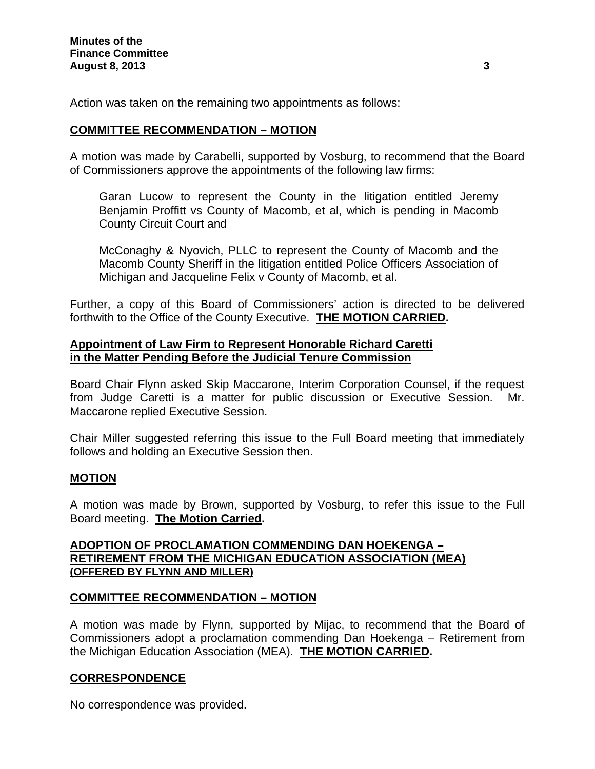Action was taken on the remaining two appointments as follows:

### **COMMITTEE RECOMMENDATION – MOTION**

A motion was made by Carabelli, supported by Vosburg, to recommend that the Board of Commissioners approve the appointments of the following law firms:

Garan Lucow to represent the County in the litigation entitled Jeremy Benjamin Proffitt vs County of Macomb, et al, which is pending in Macomb County Circuit Court and

McConaghy & Nyovich, PLLC to represent the County of Macomb and the Macomb County Sheriff in the litigation entitled Police Officers Association of Michigan and Jacqueline Felix v County of Macomb, et al.

Further, a copy of this Board of Commissioners' action is directed to be delivered forthwith to the Office of the County Executive. **THE MOTION CARRIED.** 

#### **Appointment of Law Firm to Represent Honorable Richard Caretti in the Matter Pending Before the Judicial Tenure Commission**

Board Chair Flynn asked Skip Maccarone, Interim Corporation Counsel, if the request from Judge Caretti is a matter for public discussion or Executive Session. Mr. Maccarone replied Executive Session.

Chair Miller suggested referring this issue to the Full Board meeting that immediately follows and holding an Executive Session then.

# **MOTION**

A motion was made by Brown, supported by Vosburg, to refer this issue to the Full Board meeting. **The Motion Carried.** 

# **ADOPTION OF PROCLAMATION COMMENDING DAN HOEKENGA – RETIREMENT FROM THE MICHIGAN EDUCATION ASSOCIATION (MEA) (OFFERED BY FLYNN AND MILLER)**

# **COMMITTEE RECOMMENDATION – MOTION**

A motion was made by Flynn, supported by Mijac, to recommend that the Board of Commissioners adopt a proclamation commending Dan Hoekenga – Retirement from the Michigan Education Association (MEA). **THE MOTION CARRIED.** 

#### **CORRESPONDENCE**

No correspondence was provided.